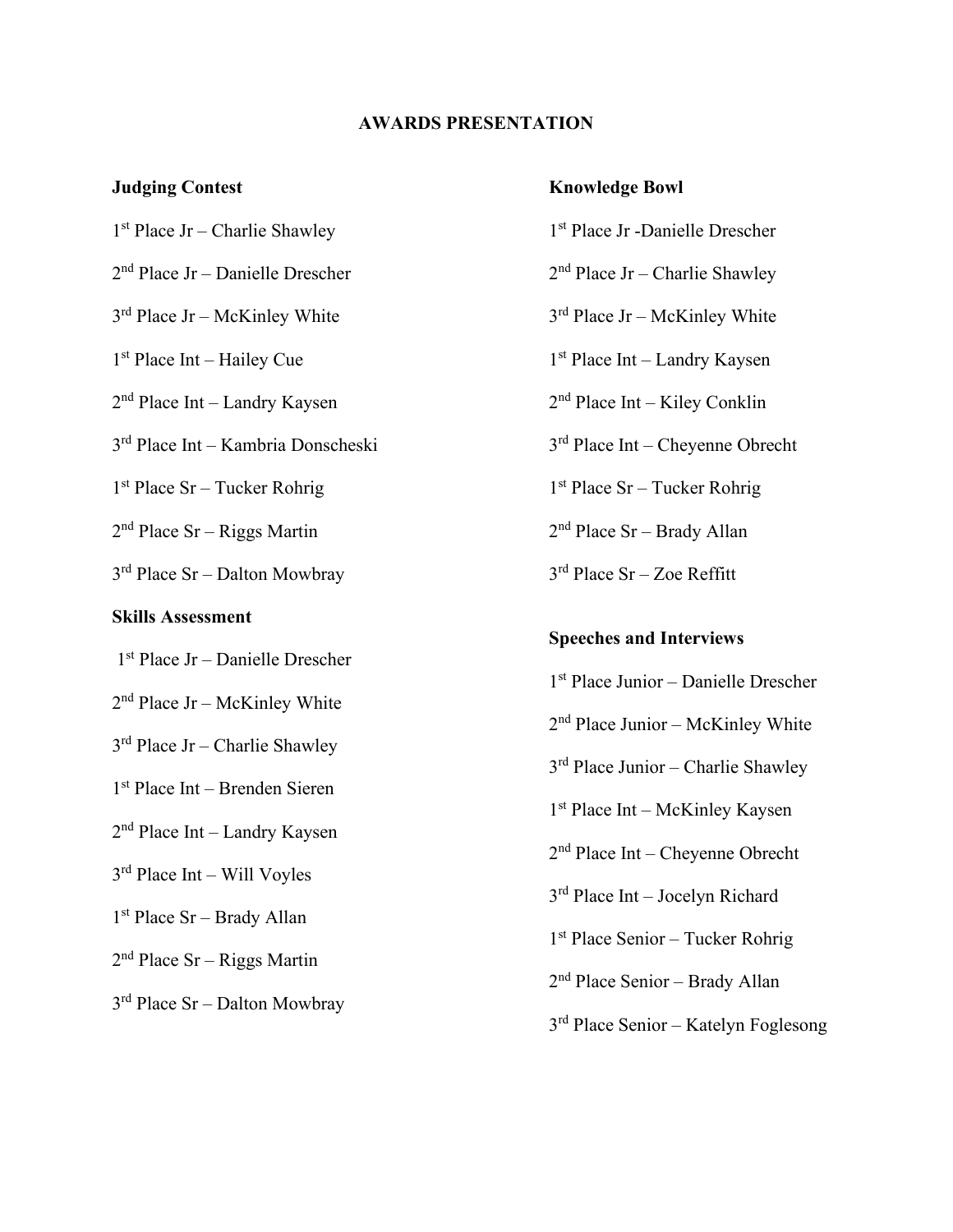#### **AWARDS PRESENTATION**

#### **Judging Contest**

1st Place Jr – Charlie Shawley

- 2nd Place Jr Danielle Drescher
- 3rd Place Jr McKinley White
- 1st Place Int Hailey Cue

2nd Place Int – Landry Kaysen

3rd Place Int – Kambria Donscheski

1st Place Sr – Tucker Rohrig

 $2<sup>nd</sup> Place Sr - Riggs Martin$ 

3rd Place Sr – Dalton Mowbray

# **Skills Assessment**

- 1st Place Jr Danielle Drescher
- 2nd Place Jr McKinley White
- 3rd Place Jr Charlie Shawley
- 1st Place Int Brenden Sieren
- 2nd Place Int Landry Kaysen
- 3rd Place Int Will Voyles
- 1st Place Sr Brady Allan
- 2nd Place Sr Riggs Martin
- 3rd Place Sr Dalton Mowbray

### **Knowledge Bowl**

- 1st Place Jr -Danielle Drescher
- 2nd Place Jr Charlie Shawley
- 3rd Place Jr McKinley White
- 1st Place Int Landry Kaysen
- 2nd Place Int Kiley Conklin
- 3rd Place Int Cheyenne Obrecht
- 1st Place Sr Tucker Rohrig
- 2nd Place Sr Brady Allan
- $3<sup>rd</sup>$  Place Sr Zoe Reffitt

# **Speeches and Interviews**

1st Place Junior – Danielle Drescher 2nd Place Junior – McKinley White 3rd Place Junior – Charlie Shawley 1st Place Int – McKinley Kaysen 2nd Place Int – Cheyenne Obrecht 3rd Place Int – Jocelyn Richard 1st Place Senior – Tucker Rohrig 2nd Place Senior – Brady Allan 3rd Place Senior – Katelyn Foglesong